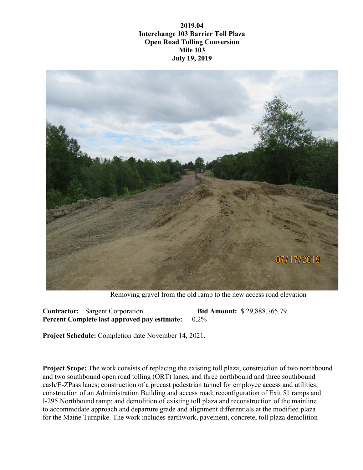**2019.04 Interchange 103 Barrier Toll Plaza Open Road Tolling Conversion Mile 103 July 19, 2019**



Removing gravel from the old ramp to the new access road elevation

**Contractor:** Sargent Corporation **Bid Amount:** \$ 29,888,765.79 **Percent Complete last approved pay estimate:** 0.2%

**Project Schedule:** Completion date November 14, 2021.

**Project Scope:** The work consists of replacing the existing toll plaza; construction of two northbound and two southbound open road tolling (ORT) lanes, and three northbound and three southbound cash/E-ZPass lanes; construction of a precast pedestrian tunnel for employee access and utilities; construction of an Administration Building and access road; reconfiguration of Exit 51 ramps and I-295 Northbound ramp; and demolition of existing toll plaza and reconstruction of the mainline to accommodate approach and departure grade and alignment differentials at the modified plaza for the Maine Turnpike. The work includes earthwork, pavement, concrete, toll plaza demolition